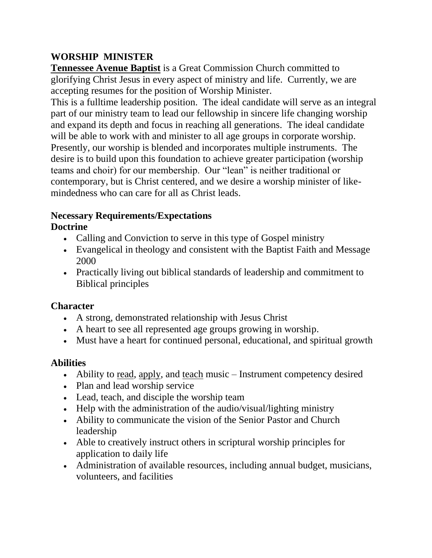# **WORSHIP MINISTER**

**Tennessee Avenue Baptist** is a Great Commission Church committed to glorifying Christ Jesus in every aspect of ministry and life. Currently, we are accepting resumes for the position of Worship Minister.

This is a fulltime leadership position. The ideal candidate will serve as an integral part of our ministry team to lead our fellowship in sincere life changing worship and expand its depth and focus in reaching all generations. The ideal candidate will be able to work with and minister to all age groups in corporate worship. Presently, our worship is blended and incorporates multiple instruments. The desire is to build upon this foundation to achieve greater participation (worship teams and choir) for our membership. Our "lean" is neither traditional or contemporary, but is Christ centered, and we desire a worship minister of likemindedness who can care for all as Christ leads.

#### **Necessary Requirements/Expectations Doctrine**

- Calling and Conviction to serve in this type of Gospel ministry
- Evangelical in theology and consistent with the Baptist Faith and Message 2000
- Practically living out biblical standards of leadership and commitment to Biblical principles

### **Character**

- A strong, demonstrated relationship with Jesus Christ
- A heart to see all represented age groups growing in worship.
- Must have a heart for continued personal, educational, and spiritual growth

# **Abilities**

- Ability to read, apply, and teach music Instrument competency desired
- Plan and lead worship service
- Lead, teach, and disciple the worship team
- Help with the administration of the audio/visual/lighting ministry
- Ability to communicate the vision of the Senior Pastor and Church leadership
- Able to creatively instruct others in scriptural worship principles for application to daily life
- Administration of available resources, including annual budget, musicians, volunteers, and facilities